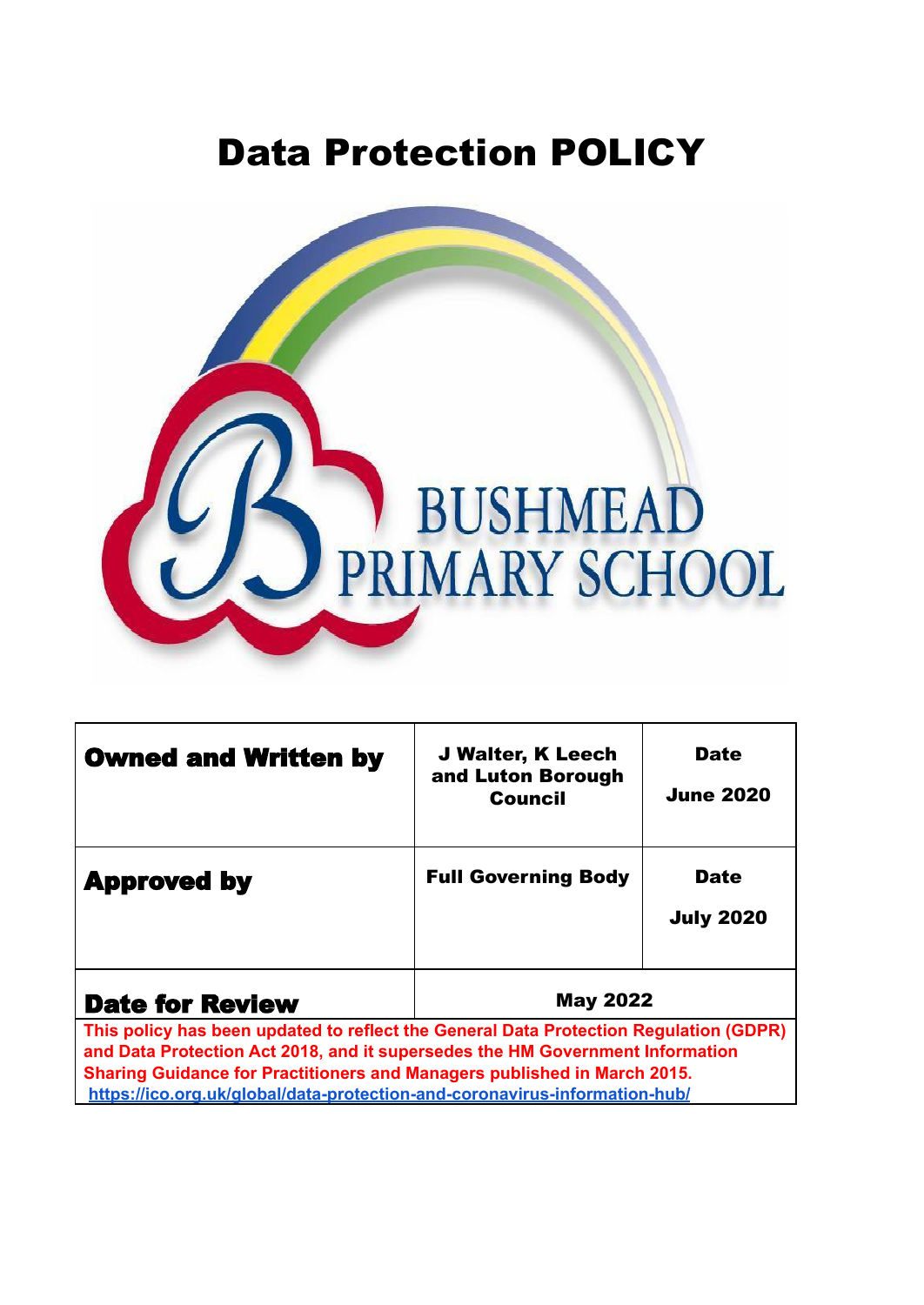# Data Protection POLICY



| <b>Owned and Written by</b>                                                                                                                                                                                                                                                                                                      | <b>J Walter, K Leech</b><br>and Luton Borough<br><b>Council</b> | <b>Date</b><br><b>June 2020</b> |
|----------------------------------------------------------------------------------------------------------------------------------------------------------------------------------------------------------------------------------------------------------------------------------------------------------------------------------|-----------------------------------------------------------------|---------------------------------|
| <b>Approved by</b>                                                                                                                                                                                                                                                                                                               | <b>Full Governing Body</b>                                      | <b>Date</b><br><b>July 2020</b> |
| <b>May 2022</b><br><b>Date for Review</b>                                                                                                                                                                                                                                                                                        |                                                                 |                                 |
| This policy has been updated to reflect the General Data Protection Regulation (GDPR)<br>and Data Protection Act 2018, and it supersedes the HM Government Information<br>Sharing Guidance for Practitioners and Managers published in March 2015.<br>https://ico.org.uk/global/data-protection-and-coronavirus-information-hub/ |                                                                 |                                 |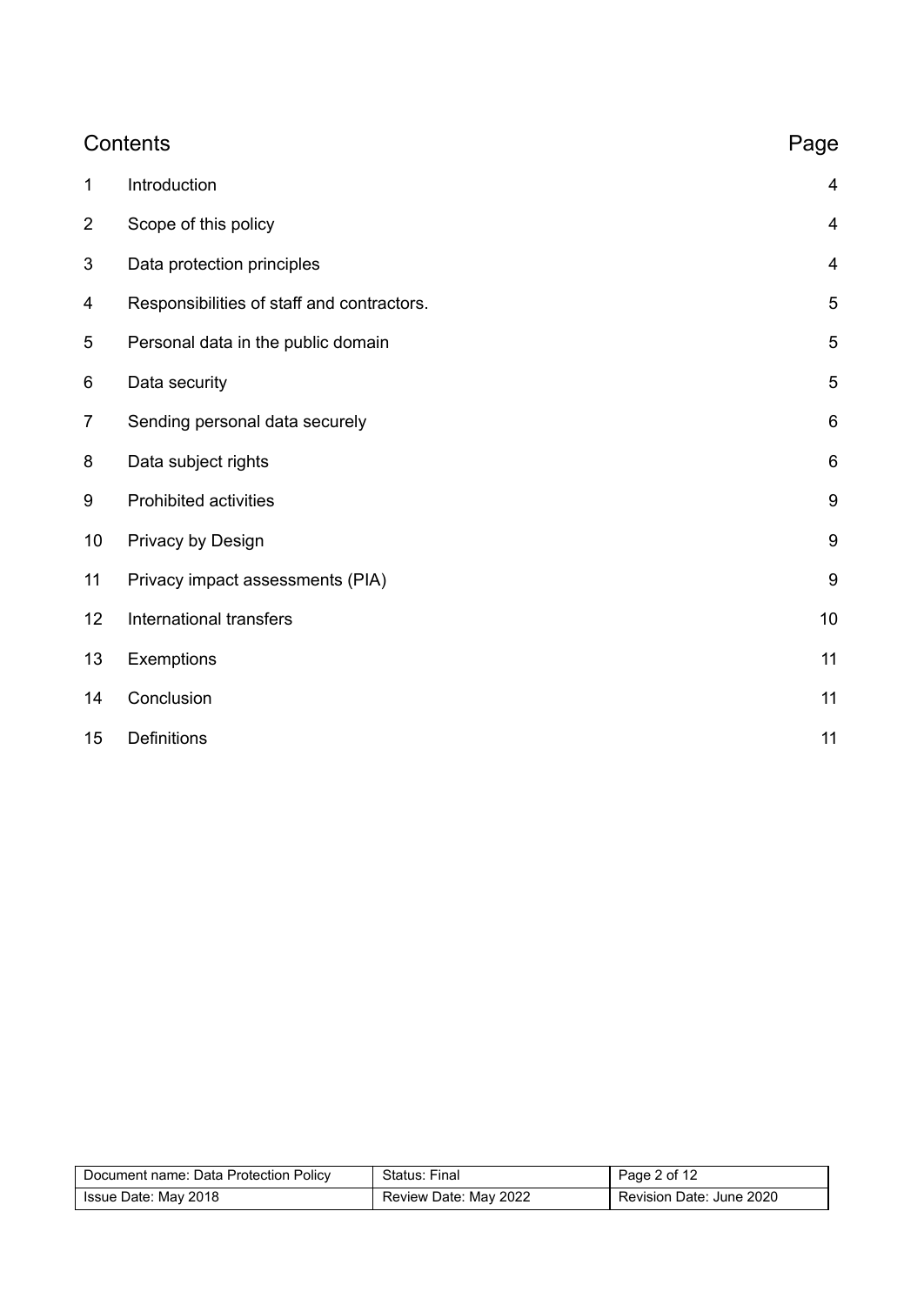|                | Contents                                   | Page                    |
|----------------|--------------------------------------------|-------------------------|
| $\mathbf 1$    | Introduction                               | 4                       |
| $\overline{2}$ | Scope of this policy                       | $\overline{\mathbf{4}}$ |
| 3              | Data protection principles                 | $\overline{4}$          |
| 4              | Responsibilities of staff and contractors. | 5                       |
| 5              | Personal data in the public domain         | 5                       |
| 6              | Data security                              | 5                       |
| $\overline{7}$ | Sending personal data securely             | $\,6$                   |
| 8              | Data subject rights                        | $6\phantom{1}$          |
| 9              | <b>Prohibited activities</b>               | 9                       |
| 10             | Privacy by Design                          | 9                       |
| 11             | Privacy impact assessments (PIA)           | 9                       |
| 12             | International transfers                    | 10                      |
| 13             | Exemptions                                 | 11                      |
| 14             | Conclusion                                 | 11                      |
| 15             | Definitions                                | 11                      |

| Document name: Data Protection Policy | Status: Final         | Page 2 of 12             |
|---------------------------------------|-----------------------|--------------------------|
| Issue Date: May 2018                  | Review Date: May 2022 | Revision Date: June 2020 |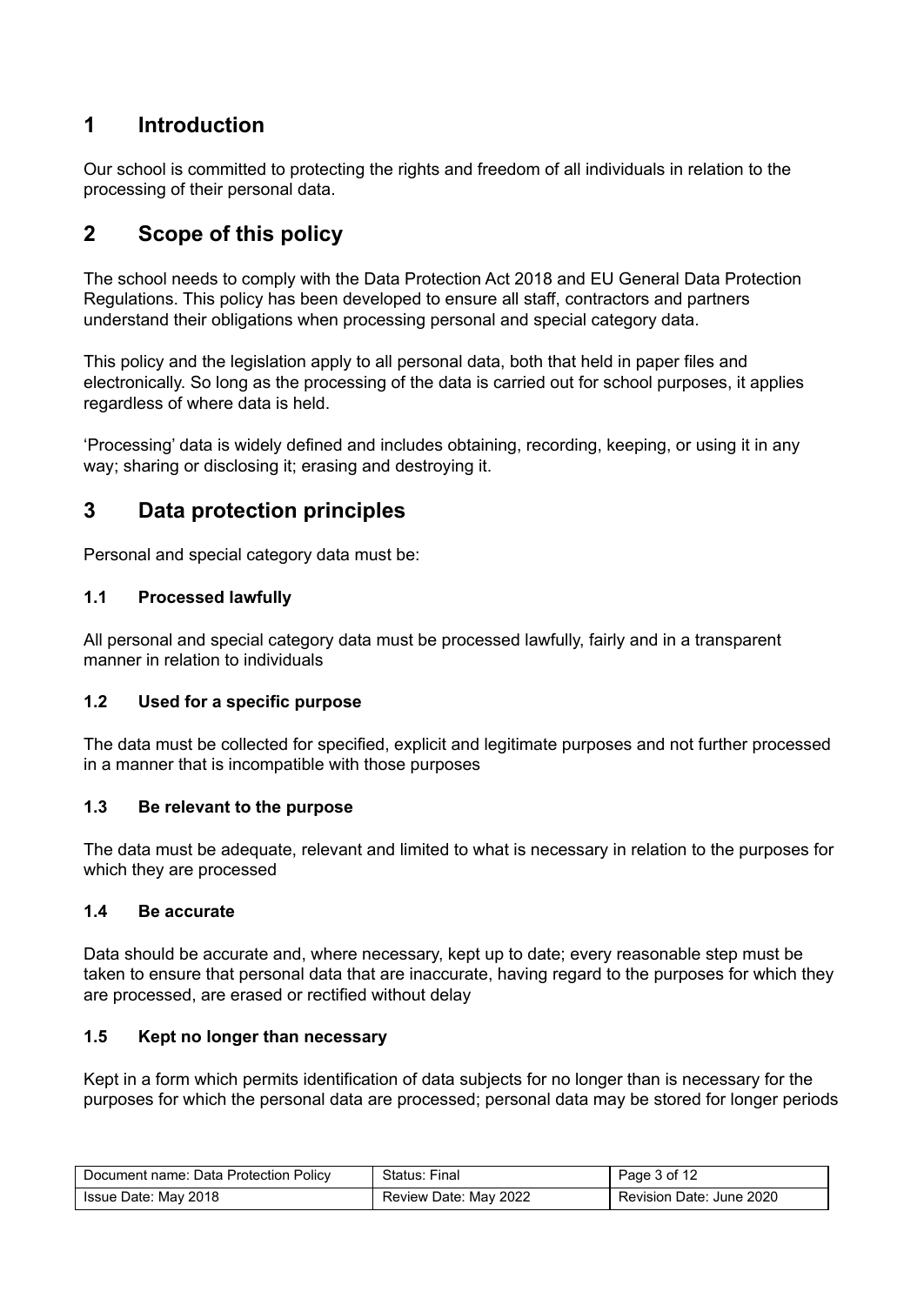# <span id="page-2-0"></span>**1 Introduction**

Our school is committed to protecting the rights and freedom of all individuals in relation to the processing of their personal data.

# <span id="page-2-1"></span>**2 Scope of this policy**

The school needs to comply with the Data Protection Act 2018 and EU General Data Protection Regulations. This policy has been developed to ensure all staff, contractors and partners understand their obligations when processing personal and special category data.

This policy and the legislation apply to all personal data, both that held in paper files and electronically. So long as the processing of the data is carried out for school purposes, it applies regardless of where data is held.

'Processing' data is widely defined and includes obtaining, recording, keeping, or using it in any way; sharing or disclosing it; erasing and destroying it.

### <span id="page-2-2"></span>**3 Data protection principles**

Personal and special category data must be:

#### **1.1 Processed lawfully**

All personal and special category data must be processed lawfully, fairly and in a transparent manner in relation to individuals

#### **1.2 Used for a specific purpose**

The data must be collected for specified, explicit and legitimate purposes and not further processed in a manner that is incompatible with those purposes

#### **1.3 Be relevant to the purpose**

The data must be adequate, relevant and limited to what is necessary in relation to the purposes for which they are processed

#### **1.4 Be accurate**

Data should be accurate and, where necessary, kept up to date; every reasonable step must be taken to ensure that personal data that are inaccurate, having regard to the purposes for which they are processed, are erased or rectified without delay

#### **1.5 Kept no longer than necessary**

Kept in a form which permits identification of data subjects for no longer than is necessary for the purposes for which the personal data are processed; personal data may be stored for longer periods

| Document name: Data Protection Policy | Status: Final         | Page 3 of 12             |
|---------------------------------------|-----------------------|--------------------------|
| Issue Date: May 2018                  | Review Date: May 2022 | Revision Date: June 2020 |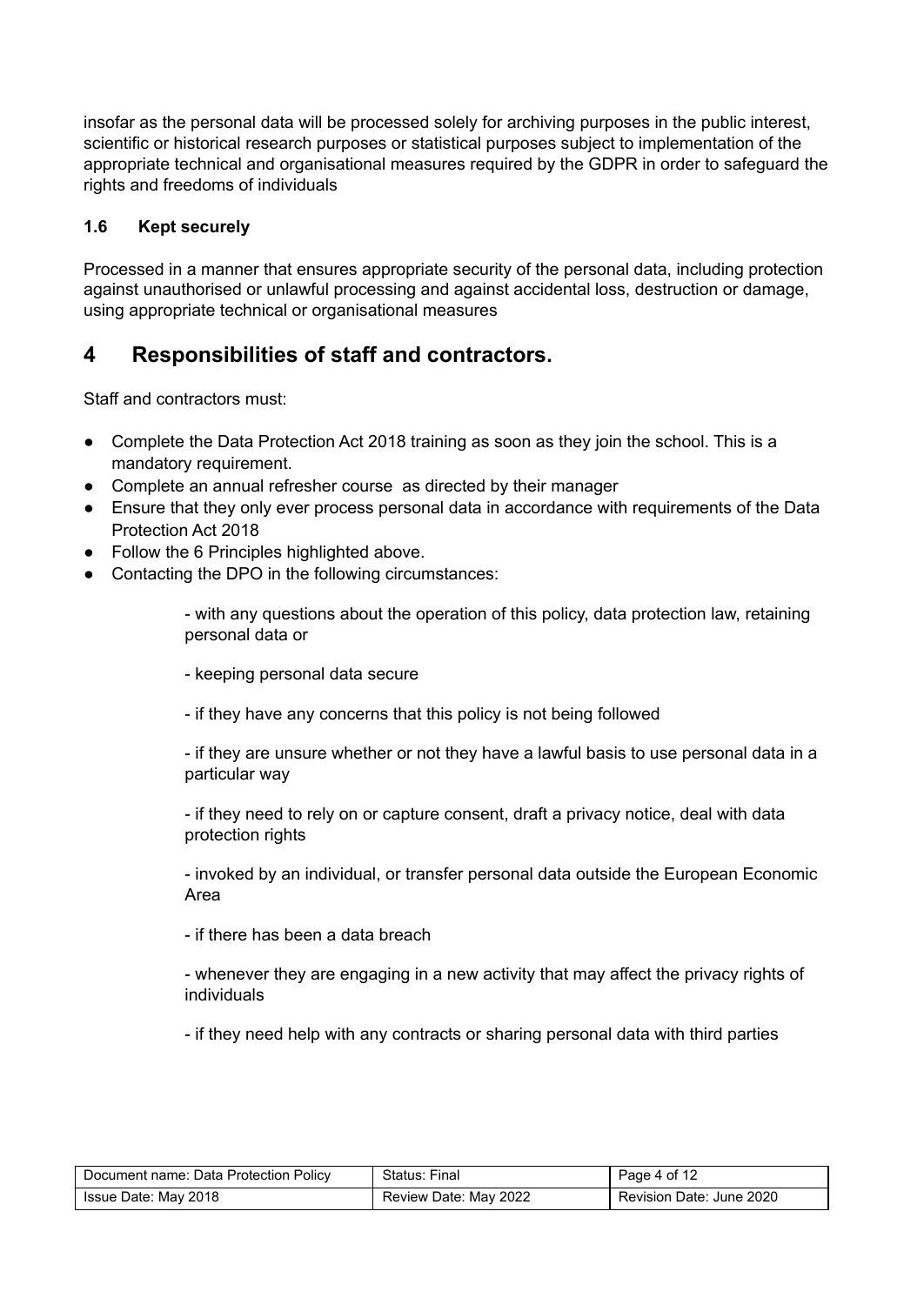insofar as the personal data will be processed solely for archiving purposes in the public interest, scientific or historical research purposes or statistical purposes subject to implementation of the appropriate technical and organisational measures required by the GDPR in order to safeguard the rights and freedoms of individuals

#### **1.6 Kept securely**

Processed in a manner that ensures appropriate security of the personal data, including protection against unauthorised or unlawful processing and against accidental loss, destruction or damage, using appropriate technical or organisational measures

# <span id="page-3-0"></span>**4 Responsibilities of staff and contractors.**

Staff and contractors must:

- Complete the Data Protection Act 2018 training as soon as they join the school. This is a mandatory requirement.
- Complete an annual refresher course as directed by their manager
- Ensure that they only ever process personal data in accordance with requirements of the Data Protection Act 2018
- <span id="page-3-1"></span>● Follow the 6 Principles highlighted above.
- Contacting the DPO in the following circumstances:

- with any questions about the operation of this policy, data protection law, retaining personal data or

- keeping personal data secure

- if they have any concerns that this policy is not being followed

- if they are unsure whether or not they have a lawful basis to use personal data in a particular way

- if they need to rely on or capture consent, draft a privacy notice, deal with data protection rights

- invoked by an individual, or transfer personal data outside the European Economic Area

- if there has been a data breach

- whenever they are engaging in a new activity that may affect the privacy rights of individuals

- if they need help with any contracts or sharing personal data with third parties

| Document name: Data Protection Policy | Status: Final         | Page 4 of 12             |
|---------------------------------------|-----------------------|--------------------------|
| Issue Date: May 2018                  | Review Date: May 2022 | Revision Date: June 2020 |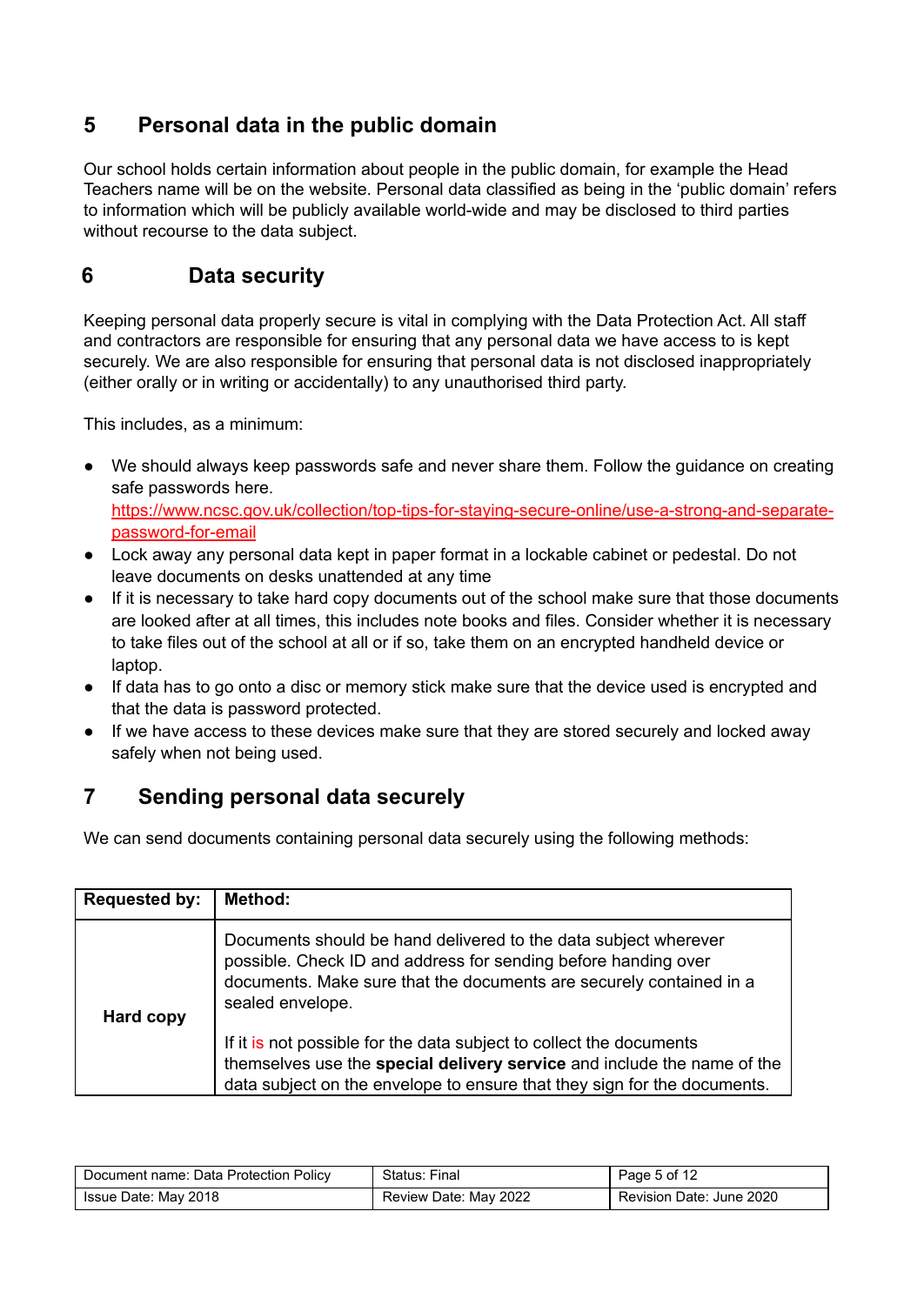# **5 Personal data in the public domain**

Our school holds certain information about people in the public domain, for example the Head Teachers name will be on the website. Personal data classified as being in the 'public domain' refers to information which will be publicly available world-wide and may be disclosed to third parties without recourse to the data subject.

# <span id="page-4-0"></span>**6 Data security**

Keeping personal data properly secure is vital in complying with the Data Protection Act. All staff and contractors are responsible for ensuring that any personal data we have access to is kept securely. We are also responsible for ensuring that personal data is not disclosed inappropriately (either orally or in writing or accidentally) to any unauthorised third party.

This includes, as a minimum:

- We should always keep passwords safe and never share them. Follow the guidance on creating safe passwords here. [https://www.ncsc.gov.uk/collection/top-tips-for-staying-secure-online/use-a-strong-and-separate](https://www.ncsc.gov.uk/collection/top-tips-for-staying-secure-online/use-a-strong-and-separate-password-for-email)[password-for-email](https://www.ncsc.gov.uk/collection/top-tips-for-staying-secure-online/use-a-strong-and-separate-password-for-email)
- Lock away any personal data kept in paper format in a lockable cabinet or pedestal. Do not leave documents on desks unattended at any time
- If it is necessary to take hard copy documents out of the school make sure that those documents are looked after at all times, this includes note books and files. Consider whether it is necessary to take files out of the school at all or if so, take them on an encrypted handheld device or laptop.
- If data has to go onto a disc or memory stick make sure that the device used is encrypted and that the data is password protected.
- If we have access to these devices make sure that they are stored securely and locked away safely when not being used.

# <span id="page-4-1"></span>**7 Sending personal data securely**

We can send documents containing personal data securely using the following methods:

| <b>Requested by:</b> | <b>Method:</b>                                                                                                                                                                                                               |
|----------------------|------------------------------------------------------------------------------------------------------------------------------------------------------------------------------------------------------------------------------|
| Hard copy            | Documents should be hand delivered to the data subject wherever<br>possible. Check ID and address for sending before handing over<br>documents. Make sure that the documents are securely contained in a<br>sealed envelope. |
|                      | If it is not possible for the data subject to collect the documents<br>themselves use the special delivery service and include the name of the<br>data subject on the envelope to ensure that they sign for the documents.   |

| Document name: Data Protection Policy | Status: Final         | Page 5 of 12             |
|---------------------------------------|-----------------------|--------------------------|
| Issue Date: May 2018                  | Review Date: May 2022 | Revision Date: June 2020 |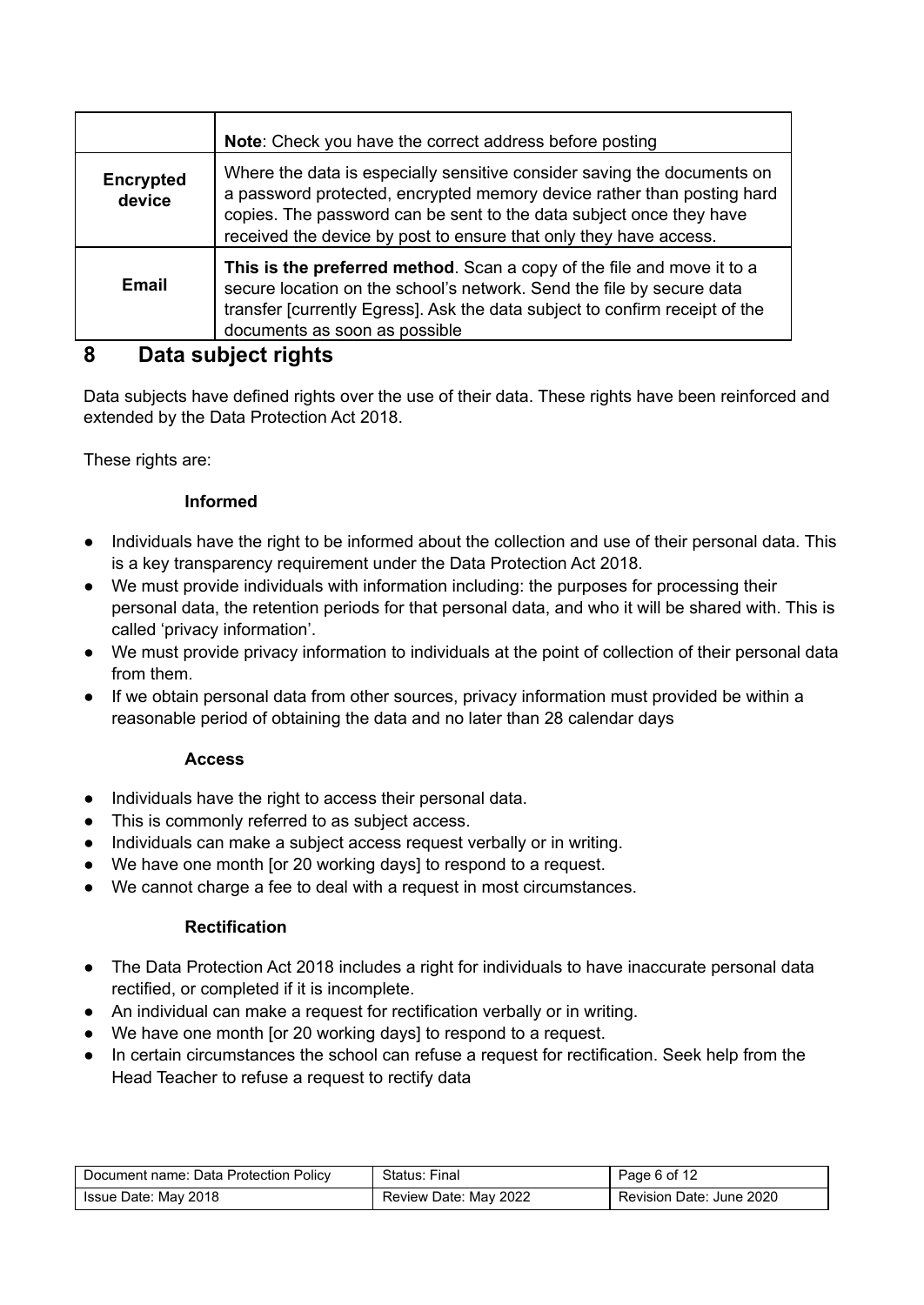|                     | Note: Check you have the correct address before posting                                                                                                                                                                                                                                       |
|---------------------|-----------------------------------------------------------------------------------------------------------------------------------------------------------------------------------------------------------------------------------------------------------------------------------------------|
| Encrypted<br>device | Where the data is especially sensitive consider saving the documents on<br>a password protected, encrypted memory device rather than posting hard<br>copies. The password can be sent to the data subject once they have<br>received the device by post to ensure that only they have access. |
| Email               | This is the preferred method. Scan a copy of the file and move it to a<br>secure location on the school's network. Send the file by secure data<br>transfer [currently Egress]. Ask the data subject to confirm receipt of the<br>documents as soon as possible                               |

# <span id="page-5-0"></span>**8 Data subject rights**

Data subjects have defined rights over the use of their data. These rights have been reinforced and extended by the Data Protection Act 2018.

These rights are:

#### **Informed**

- Individuals have the right to be informed about the collection and use of their personal data. This is a key transparency requirement under the Data Protection Act 2018.
- We must provide individuals with information including: the purposes for processing their personal data, the retention periods for that personal data, and who it will be shared with. This is called 'privacy information'.
- We must provide privacy information to individuals at the point of collection of their personal data from them.
- If we obtain personal data from other sources, privacy information must provided be within a reasonable period of obtaining the data and no later than 28 calendar days

#### **Access**

- Individuals have the right to access their personal data.
- This is commonly referred to as subject access.
- Individuals can make a subject access request verbally or in writing.
- We have one month [or 20 working days] to respond to a request.
- We cannot charge a fee to deal with a request in most circumstances.

#### **Rectification**

- The Data Protection Act 2018 includes a right for individuals to have inaccurate personal data rectified, or completed if it is incomplete.
- An individual can make a request for rectification verbally or in writing.
- We have one month [or 20 working days] to respond to a request.
- In certain circumstances the school can refuse a request for rectification. Seek help from the Head Teacher to refuse a request to rectify data

| Document name: Data Protection Policy | Status: Final         | Page 6 of 12             |
|---------------------------------------|-----------------------|--------------------------|
| Issue Date: May 2018                  | Review Date: May 2022 | Revision Date: June 2020 |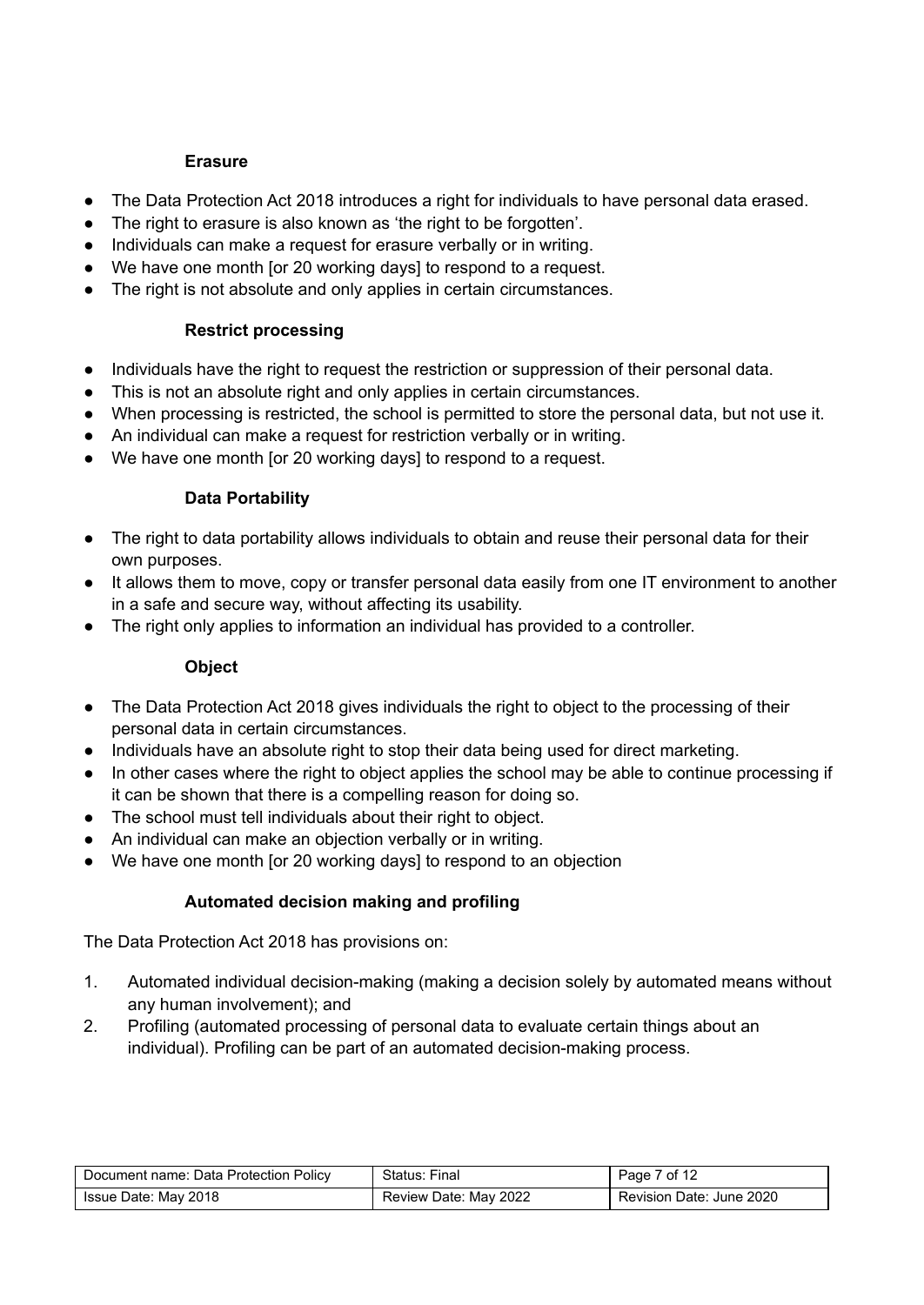#### **Erasure**

- The Data Protection Act 2018 introduces a right for individuals to have personal data erased.
- The right to erasure is also known as 'the right to be forgotten'.
- Individuals can make a request for erasure verbally or in writing.
- We have one month [or 20 working days] to respond to a request.
- The right is not absolute and only applies in certain circumstances.

#### **Restrict processing**

- Individuals have the right to request the restriction or suppression of their personal data.
- This is not an absolute right and only applies in certain circumstances.
- When processing is restricted, the school is permitted to store the personal data, but not use it.
- An individual can make a request for restriction verbally or in writing.
- We have one month [or 20 working days] to respond to a request.

#### **Data Portability**

- The right to data portability allows individuals to obtain and reuse their personal data for their own purposes.
- It allows them to move, copy or transfer personal data easily from one IT environment to another in a safe and secure way, without affecting its usability.
- The right only applies to information an individual has provided to a controller.

#### **Object**

- The Data Protection Act 2018 gives individuals the right to object to the processing of their personal data in certain circumstances.
- Individuals have an absolute right to stop their data being used for direct marketing.
- In other cases where the right to object applies the school may be able to continue processing if it can be shown that there is a compelling reason for doing so.
- The school must tell individuals about their right to object.
- An individual can make an objection verbally or in writing.
- We have one month [or 20 working days] to respond to an objection

#### **Automated decision making and profiling**

The Data Protection Act 2018 has provisions on:

- 1. Automated individual decision-making (making a decision solely by automated means without any human involvement); and
- 2. Profiling (automated processing of personal data to evaluate certain things about an individual). Profiling can be part of an automated decision-making process.

| Document name: Data Protection Policy | Status: Final         | Page 7 of 12             |
|---------------------------------------|-----------------------|--------------------------|
| Issue Date: May 2018                  | Review Date: May 2022 | Revision Date: June 2020 |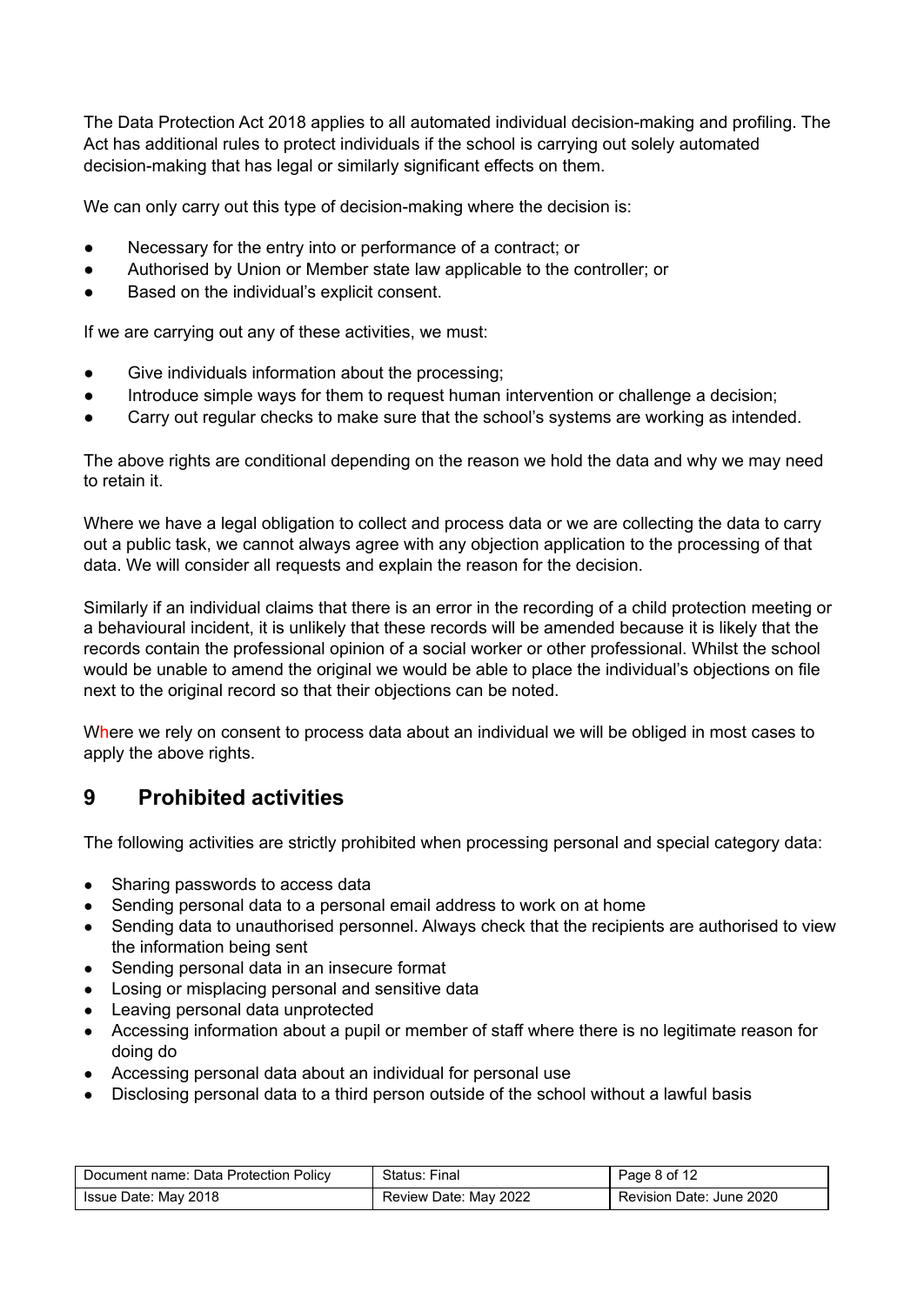The Data Protection Act 2018 applies to all automated individual decision-making and profiling. The Act has additional rules to protect individuals if the school is carrying out solely automated decision-making that has legal or similarly significant effects on them.

We can only carry out this type of decision-making where the decision is:

- Necessary for the entry into or performance of a contract; or
- Authorised by Union or Member state law applicable to the controller; or
- Based on the individual's explicit consent.

If we are carrying out any of these activities, we must:

- Give individuals information about the processing;
- Introduce simple ways for them to request human intervention or challenge a decision;
- Carry out regular checks to make sure that the school's systems are working as intended.

The above rights are conditional depending on the reason we hold the data and why we may need to retain it.

Where we have a legal obligation to collect and process data or we are collecting the data to carry out a public task, we cannot always agree with any objection application to the processing of that data. We will consider all requests and explain the reason for the decision.

Similarly if an individual claims that there is an error in the recording of a child protection meeting or a behavioural incident, it is unlikely that these records will be amended because it is likely that the records contain the professional opinion of a social worker or other professional. Whilst the school would be unable to amend the original we would be able to place the individual's objections on file next to the original record so that their objections can be noted.

Where we rely on consent to process data about an individual we will be obliged in most cases to apply the above rights.

# <span id="page-7-0"></span>**9 Prohibited activities**

The following activities are strictly prohibited when processing personal and special category data:

- Sharing passwords to access data
- Sending personal data to a personal email address to work on at home
- Sending data to unauthorised personnel. Always check that the recipients are authorised to view the information being sent
- Sending personal data in an insecure format
- Losing or misplacing personal and sensitive data
- Leaving personal data unprotected
- Accessing information about a pupil or member of staff where there is no legitimate reason for doing do
- Accessing personal data about an individual for personal use
- **●** Disclosing personal data to a third person outside of the school without a lawful basis

| Document name: Data Protection Policy | Status: Final         | Page 8 of 12             |
|---------------------------------------|-----------------------|--------------------------|
| Issue Date: May 2018                  | Review Date: May 2022 | Revision Date: June 2020 |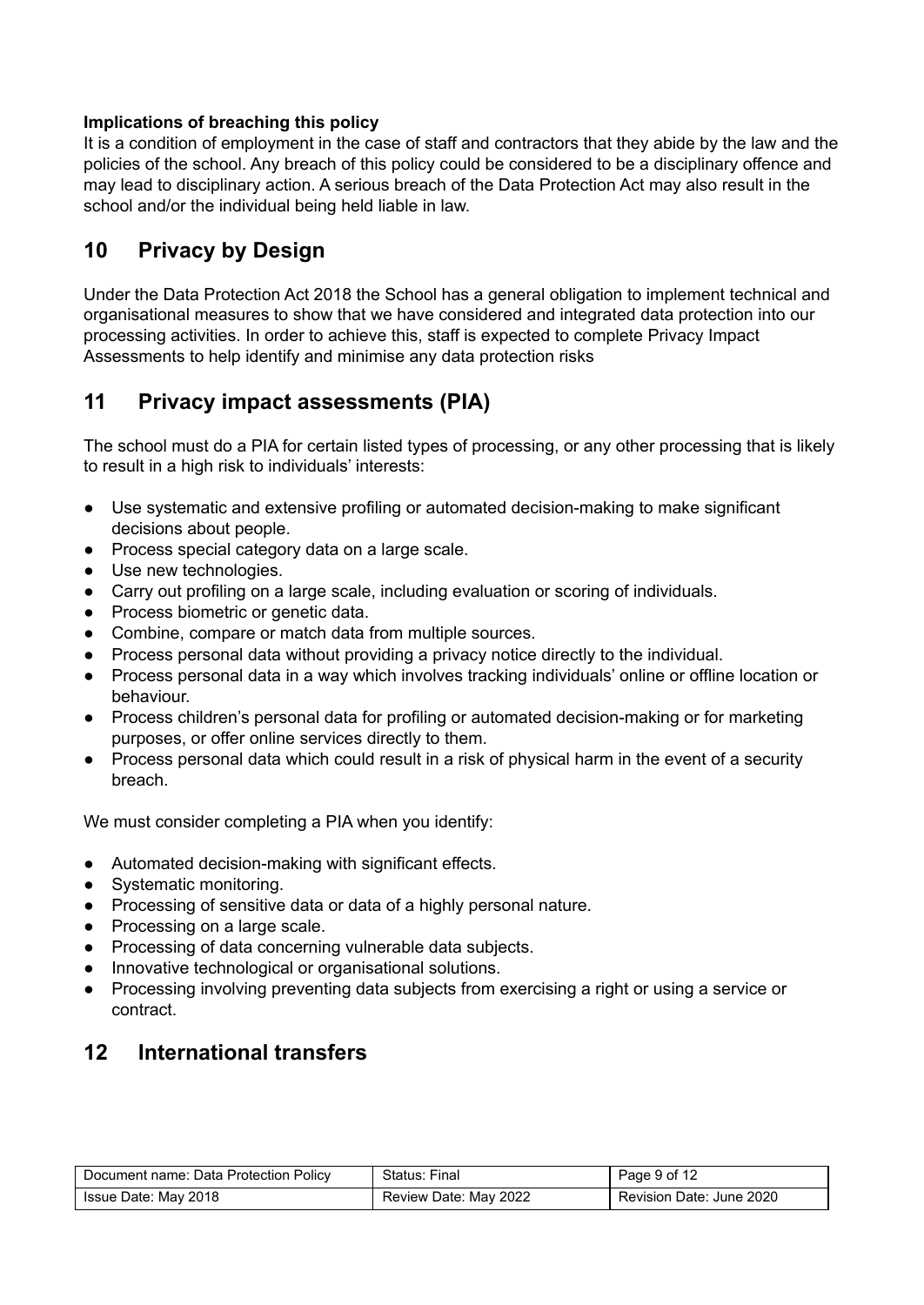#### **Implications of breaching this policy**

It is a condition of employment in the case of staff and contractors that they abide by the law and the policies of the school. Any breach of this policy could be considered to be a disciplinary offence and may lead to disciplinary action. A serious breach of the Data Protection Act may also result in the school and/or the individual being held liable in law.

# <span id="page-8-0"></span>**10 Privacy by Design**

Under the Data Protection Act 2018 the School has a general obligation to implement technical and organisational measures to show that we have considered and integrated data protection into our processing activities. In order to achieve this, staff is expected to complete Privacy Impact Assessments to help identify and minimise any data protection risks

# <span id="page-8-1"></span>**11 Privacy impact assessments (PIA)**

The school must do a PIA for certain listed types of processing, or any other processing that is likely to result in a high risk to individuals' interests:

- Use systematic and extensive profiling or automated decision-making to make significant decisions about people.
- Process special category data on a large scale.
- Use new technologies.
- Carry out profiling on a large scale, including evaluation or scoring of individuals.
- Process biometric or genetic data.
- Combine, compare or match data from multiple sources.
- Process personal data without providing a privacy notice directly to the individual.
- Process personal data in a way which involves tracking individuals' online or offline location or behaviour.
- Process children's personal data for profiling or automated decision-making or for marketing purposes, or offer online services directly to them.
- Process personal data which could result in a risk of physical harm in the event of a security breach.

We must consider completing a PIA when you identify:

- Automated decision-making with significant effects.
- Systematic monitoring.
- Processing of sensitive data or data of a highly personal nature.
- Processing on a large scale.
- Processing of data concerning vulnerable data subjects.
- Innovative technological or organisational solutions.
- Processing involving preventing data subjects from exercising a right or using a service or contract.

# <span id="page-8-2"></span>**12 International transfers**

| Document name: Data Protection Policy | Status: Final         | Page 9 of 12             |
|---------------------------------------|-----------------------|--------------------------|
| Issue Date: May 2018                  | Review Date: May 2022 | Revision Date: June 2020 |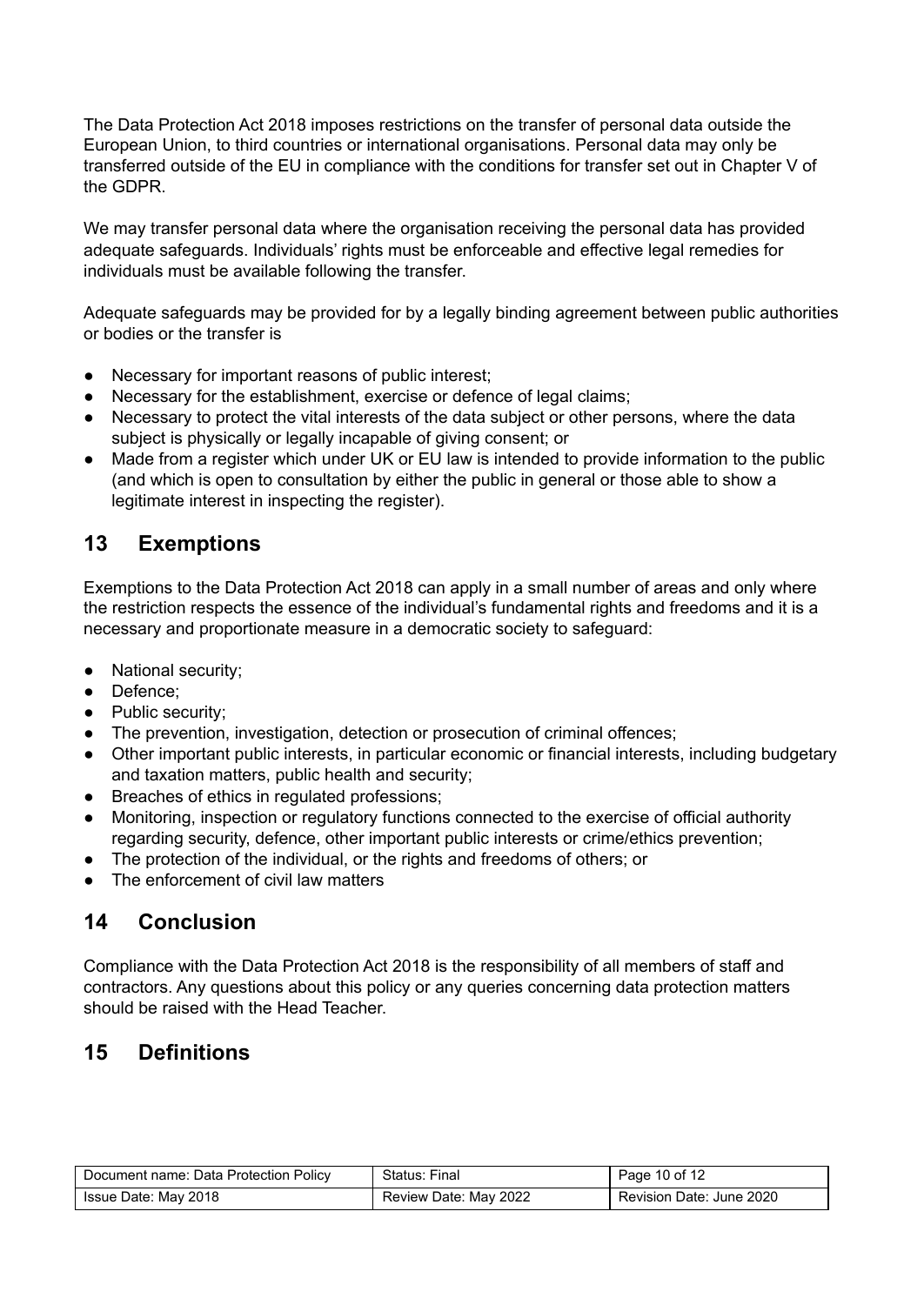The Data Protection Act 2018 imposes restrictions on the transfer of personal data outside the European Union, to third countries or international organisations. Personal data may only be transferred outside of the EU in compliance with the conditions for transfer set out in Chapter V of the GDPR.

We may transfer personal data where the organisation receiving the personal data has provided adequate safeguards. Individuals' rights must be enforceable and effective legal remedies for individuals must be available following the transfer.

Adequate safeguards may be provided for by a legally binding agreement between public authorities or bodies or the transfer is

- Necessary for important reasons of public interest;
- Necessary for the establishment, exercise or defence of legal claims;
- Necessary to protect the vital interests of the data subject or other persons, where the data subject is physically or legally incapable of giving consent; or
- Made from a register which under UK or EU law is intended to provide information to the public (and which is open to consultation by either the public in general or those able to show a legitimate interest in inspecting the register).

# <span id="page-9-0"></span>**13 Exemptions**

Exemptions to the Data Protection Act 2018 can apply in a small number of areas and only where the restriction respects the essence of the individual's fundamental rights and freedoms and it is a necessary and proportionate measure in a democratic society to safeguard:

- National security;
- Defence;
- Public security;
- The prevention, investigation, detection or prosecution of criminal offences;
- Other important public interests, in particular economic or financial interests, including budgetary and taxation matters, public health and security;
- Breaches of ethics in regulated professions;
- Monitoring, inspection or regulatory functions connected to the exercise of official authority regarding security, defence, other important public interests or crime/ethics prevention;
- The protection of the individual, or the rights and freedoms of others; or
- The enforcement of civil law matters

# <span id="page-9-1"></span>**14 Conclusion**

Compliance with the Data Protection Act 2018 is the responsibility of all members of staff and contractors. Any questions about this policy or any queries concerning data protection matters should be raised with the Head Teacher.

# <span id="page-9-2"></span>**15 Definitions**

| Document name: Data Protection Policy | Status: Final         | Page 10 of 12            |
|---------------------------------------|-----------------------|--------------------------|
| Issue Date: May 2018                  | Review Date: May 2022 | Revision Date: June 2020 |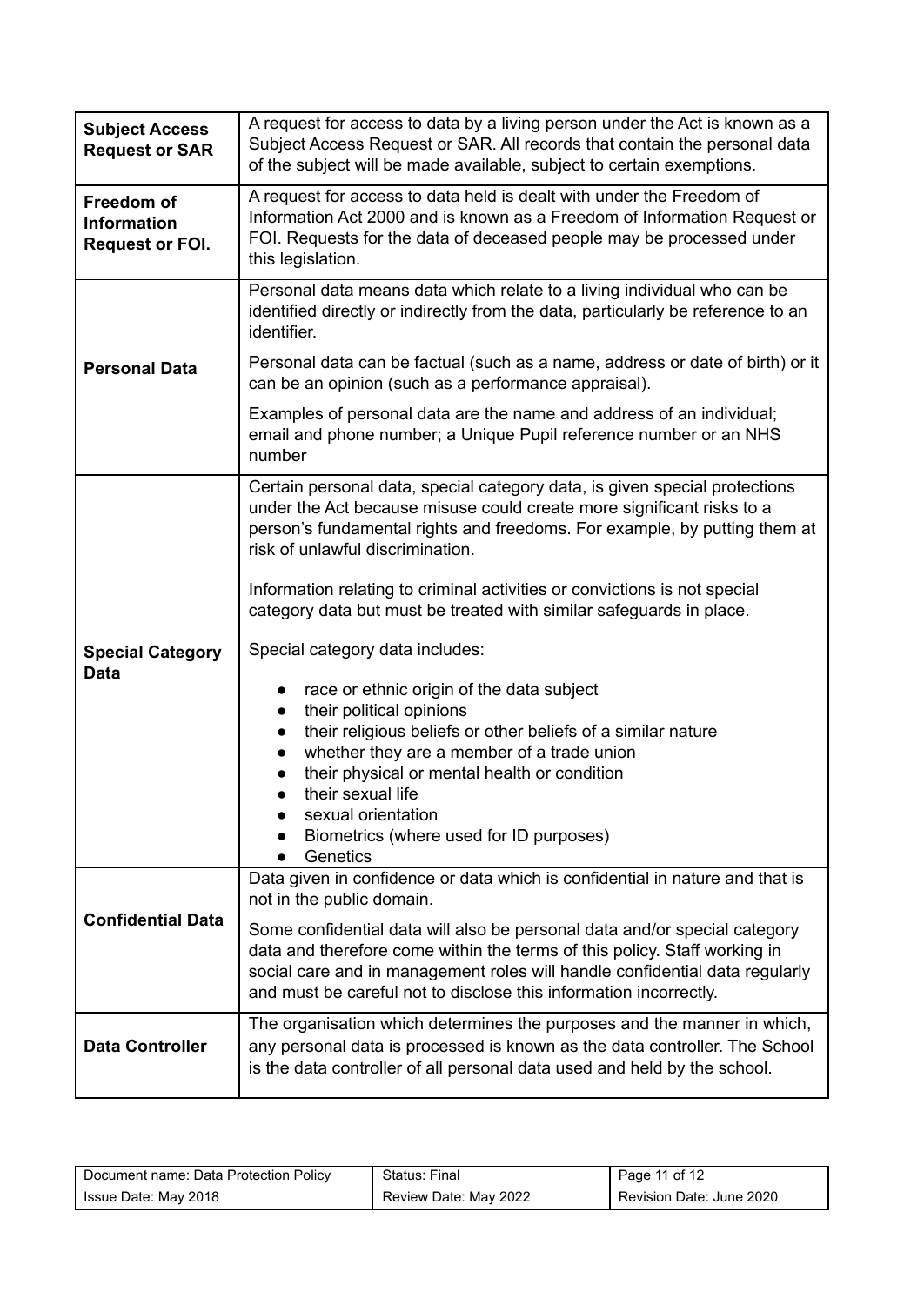| <b>Subject Access</b><br><b>Request or SAR</b>             | A request for access to data by a living person under the Act is known as a<br>Subject Access Request or SAR. All records that contain the personal data<br>of the subject will be made available, subject to certain exemptions.                                                                                                                  |  |  |
|------------------------------------------------------------|----------------------------------------------------------------------------------------------------------------------------------------------------------------------------------------------------------------------------------------------------------------------------------------------------------------------------------------------------|--|--|
| Freedom of<br><b>Information</b><br><b>Request or FOI.</b> | A request for access to data held is dealt with under the Freedom of<br>Information Act 2000 and is known as a Freedom of Information Request or<br>FOI. Requests for the data of deceased people may be processed under<br>this legislation.                                                                                                      |  |  |
|                                                            | Personal data means data which relate to a living individual who can be<br>identified directly or indirectly from the data, particularly be reference to an<br>identifier.                                                                                                                                                                         |  |  |
| <b>Personal Data</b>                                       | Personal data can be factual (such as a name, address or date of birth) or it<br>can be an opinion (such as a performance appraisal).                                                                                                                                                                                                              |  |  |
|                                                            | Examples of personal data are the name and address of an individual;<br>email and phone number; a Unique Pupil reference number or an NHS<br>number                                                                                                                                                                                                |  |  |
| <b>Special Category</b><br><b>Data</b>                     | Certain personal data, special category data, is given special protections<br>under the Act because misuse could create more significant risks to a<br>person's fundamental rights and freedoms. For example, by putting them at<br>risk of unlawful discrimination.                                                                               |  |  |
|                                                            | Information relating to criminal activities or convictions is not special<br>category data but must be treated with similar safeguards in place.                                                                                                                                                                                                   |  |  |
|                                                            | Special category data includes:                                                                                                                                                                                                                                                                                                                    |  |  |
|                                                            | race or ethnic origin of the data subject<br>their political opinions<br>their religious beliefs or other beliefs of a similar nature<br>$\bullet$<br>whether they are a member of a trade union<br>their physical or mental health or condition<br>their sexual life<br>sexual orientation<br>Biometrics (where used for ID purposes)<br>Genetics |  |  |
| <b>Confidential Data</b>                                   | Data given in confidence or data which is confidential in nature and that is<br>not in the public domain.                                                                                                                                                                                                                                          |  |  |
|                                                            | Some confidential data will also be personal data and/or special category<br>data and therefore come within the terms of this policy. Staff working in<br>social care and in management roles will handle confidential data regularly<br>and must be careful not to disclose this information incorrectly.                                         |  |  |
| <b>Data Controller</b>                                     | The organisation which determines the purposes and the manner in which,<br>any personal data is processed is known as the data controller. The School<br>is the data controller of all personal data used and held by the school.                                                                                                                  |  |  |

| Document name: Data Protection Policy | Status: Final         | Page 11 of 12            |
|---------------------------------------|-----------------------|--------------------------|
| Issue Date: May 2018                  | Review Date: May 2022 | Revision Date: June 2020 |